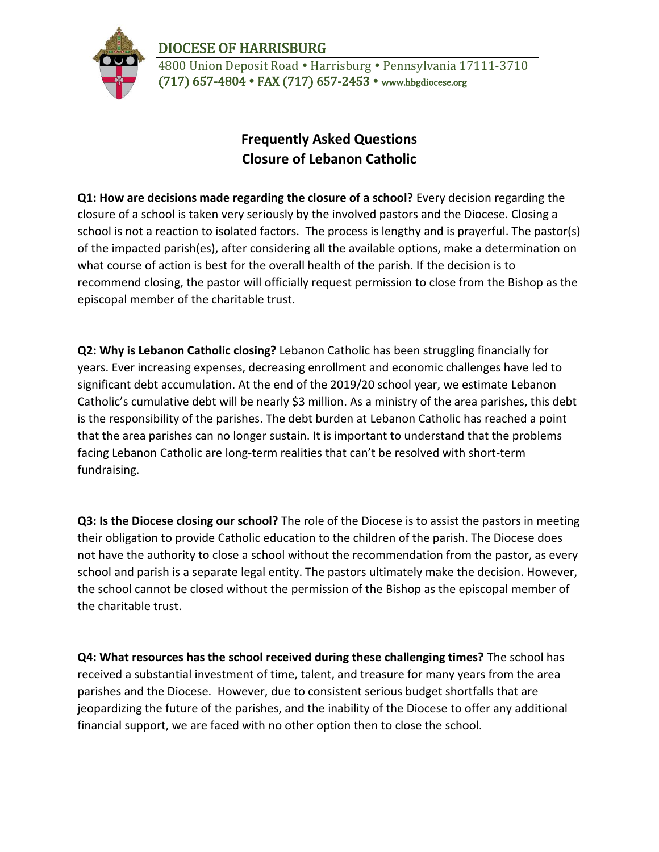DIOCESE OF HARRISBURG



4800 Union Deposit Road • Harrisburg • Pennsylvania 17111-3710 (717) 657-4804 FAX (717) 657-2453 www.hbgdiocese.org

## **Frequently Asked Questions Closure of Lebanon Catholic**

**Q1: How are decisions made regarding the closure of a school?** Every decision regarding the closure of a school is taken very seriously by the involved pastors and the Diocese. Closing a school is not a reaction to isolated factors. The process is lengthy and is prayerful. The pastor(s) of the impacted parish(es), after considering all the available options, make a determination on what course of action is best for the overall health of the parish. If the decision is to recommend closing, the pastor will officially request permission to close from the Bishop as the episcopal member of the charitable trust.

**Q2: Why is Lebanon Catholic closing?** Lebanon Catholic has been struggling financially for years. Ever increasing expenses, decreasing enrollment and economic challenges have led to significant debt accumulation. At the end of the 2019/20 school year, we estimate Lebanon Catholic's cumulative debt will be nearly \$3 million. As a ministry of the area parishes, this debt is the responsibility of the parishes. The debt burden at Lebanon Catholic has reached a point that the area parishes can no longer sustain. It is important to understand that the problems facing Lebanon Catholic are long-term realities that can't be resolved with short-term fundraising.

**Q3: Is the Diocese closing our school?** The role of the Diocese is to assist the pastors in meeting their obligation to provide Catholic education to the children of the parish. The Diocese does not have the authority to close a school without the recommendation from the pastor, as every school and parish is a separate legal entity. The pastors ultimately make the decision. However, the school cannot be closed without the permission of the Bishop as the episcopal member of the charitable trust.

**Q4: What resources has the school received during these challenging times?** The school has received a substantial investment of time, talent, and treasure for many years from the area parishes and the Diocese. However, due to consistent serious budget shortfalls that are jeopardizing the future of the parishes, and the inability of the Diocese to offer any additional financial support, we are faced with no other option then to close the school.